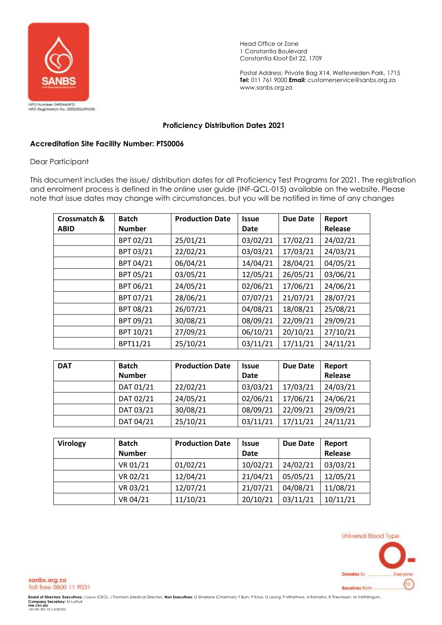

Head Office or Zone 1 Constantia Boulevard Constantia Kloof Ext 22, 1709

Postal Address: Private Bag X14, Weltevreden Park, 1715 **Tel:** 011 761 9000 **Email:** customerservice@sanbs.org.za www.sanbs.org.za

## **Proficiency Distribution Dates 2021**

## **Accreditation Site Facility Number: PTS0006**

## Dear Participant

This document includes the issue/ distribution dates for all Proficiency Test Programs for 2021. The registration and enrolment process is defined in the online user guide (INF-QCL-015) available on the website. Please note that issue dates may change with circumstances, but you will be notified in time of any changes

| Crossmatch &<br><b>ABID</b> | <b>Batch</b><br><b>Number</b> | <b>Production Date</b> | <b>Issue</b><br>Date | <b>Due Date</b> | Report<br>Release |
|-----------------------------|-------------------------------|------------------------|----------------------|-----------------|-------------------|
|                             | BPT 02/21                     | 25/01/21               | 03/02/21             | 17/02/21        | 24/02/21          |
|                             | BPT 03/21                     | 22/02/21               | 03/03/21             | 17/03/21        | 24/03/21          |
|                             | BPT 04/21                     | 06/04/21               | 14/04/21             | 28/04/21        | 04/05/21          |
|                             | BPT 05/21                     | 03/05/21               | 12/05/21             | 26/05/21        | 03/06/21          |
|                             | BPT 06/21                     | 24/05/21               | 02/06/21             | 17/06/21        | 24/06/21          |
|                             | BPT 07/21                     | 28/06/21               | 07/07/21             | 21/07/21        | 28/07/21          |
|                             | BPT 08/21                     | 26/07/21               | 04/08/21             | 18/08/21        | 25/08/21          |
|                             | BPT 09/21                     | 30/08/21               | 08/09/21             | 22/09/21        | 29/09/21          |
|                             | BPT 10/21                     | 27/09/21               | 06/10/21             | 20/10/21        | 27/10/21          |
|                             | BPT11/21                      | 25/10/21               | 03/11/21             | 17/11/21        | 24/11/21          |

| <b>DAT</b> | <b>Batch</b>  | <b>Production Date</b> | <b>Issue</b> | <b>Due Date</b> | Report   |
|------------|---------------|------------------------|--------------|-----------------|----------|
|            | <b>Number</b> |                        | <b>Date</b>  |                 | Release  |
|            | DAT 01/21     | 22/02/21               | 03/03/21     | 17/03/21        | 24/03/21 |
|            | DAT 02/21     | 24/05/21               | 02/06/21     | 17/06/21        | 24/06/21 |
|            | DAT 03/21     | 30/08/21               | 08/09/21     | 22/09/21        | 29/09/21 |
|            | DAT 04/21     | 25/10/21               | 03/11/21     | 17/11/21        | 24/11/21 |

| <b>Virology</b> | <b>Batch</b><br><b>Number</b> | <b>Production Date</b> | <b>Issue</b><br>Date | Due Date | Report<br>Release |
|-----------------|-------------------------------|------------------------|----------------------|----------|-------------------|
|                 | VR 01/21                      | 01/02/21               | 10/02/21             | 24/02/21 | 03/03/21          |
|                 | VR 02/21                      | 12/04/21               | 21/04/21             | 05/05/21 | 12/05/21          |
|                 | VR 03/21                      | 12/07/21               | 21/07/21             | 04/08/21 | 11/08/21          |
|                 | VR 04/21                      | 11/10/21               | 20/10/21             | 03/11/21 | 10/11/21          |



sanbs.org.za Toll free 0800 11 9031